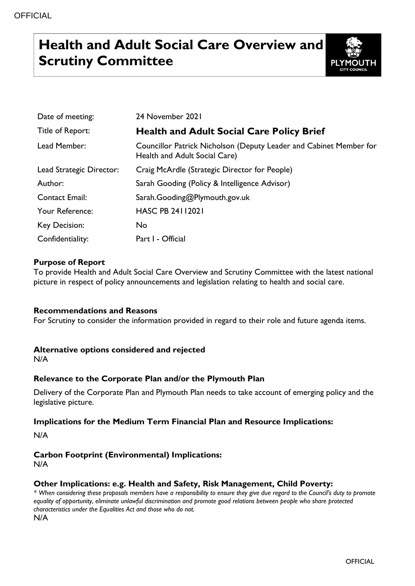# **Health and Adult Social Care Overview and Scrutiny Committee**



| Date of meeting:         | 24 November 2021                                                                                    |
|--------------------------|-----------------------------------------------------------------------------------------------------|
| Title of Report:         | <b>Health and Adult Social Care Policy Brief</b>                                                    |
| Lead Member:             | Councillor Patrick Nicholson (Deputy Leader and Cabinet Member for<br>Health and Adult Social Care) |
| Lead Strategic Director: | Craig McArdle (Strategic Director for People)                                                       |
| Author:                  | Sarah Gooding (Policy & Intelligence Advisor)                                                       |
| <b>Contact Email:</b>    | Sarah.Gooding@Plymouth.gov.uk                                                                       |
| Your Reference:          | <b>HASC PB 24112021</b>                                                                             |
| Key Decision:            | No                                                                                                  |
| Confidentiality:         | Part I - Official                                                                                   |

# **Purpose of Report**

To provide Health and Adult Social Care Overview and Scrutiny Committee with the latest national picture in respect of policy announcements and legislation relating to health and social care.

### **Recommendations and Reasons**

For Scrutiny to consider the information provided in regard to their role and future agenda items.

### **Alternative options considered and rejected**

N/A

# **Relevance to the Corporate Plan and/or the Plymouth Plan**

Delivery of the Corporate Plan and Plymouth Plan needs to take account of emerging policy and the legislative picture.

### **Implications for the Medium Term Financial Plan and Resource Implications:**

N/A

# **Carbon Footprint (Environmental) Implications:**

N/A

# **Other Implications: e.g. Health and Safety, Risk Management, Child Poverty:**

*\* When considering these proposals members have a responsibility to ensure they give due regard to the Council's duty to promote equality of opportunity, eliminate unlawful discrimination and promote good relations between people who share protected characteristics under the Equalities Act and those who do not.*

N/A